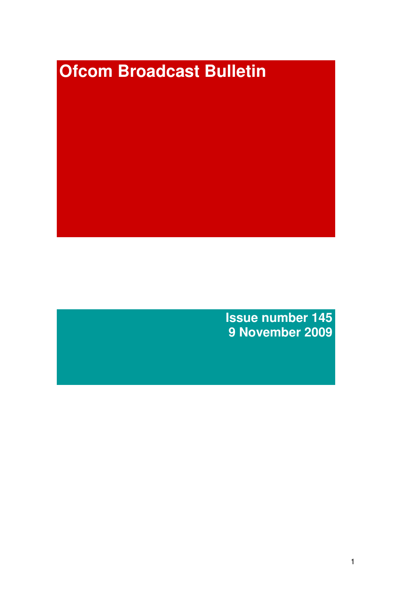# **Ofcom Broadcast Bulletin**

**Issue number 145 9 November 2009**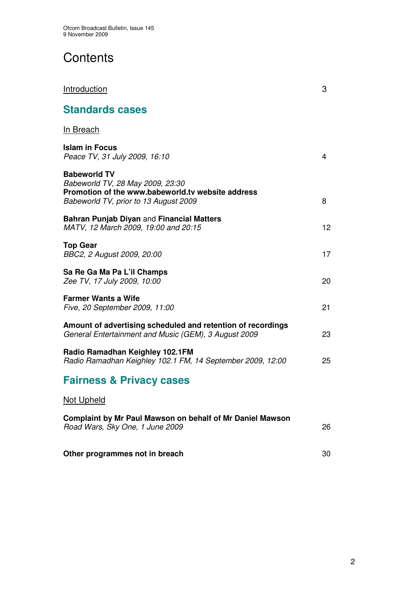# **Contents**

| <b>Introduction</b>                                                                                                                                   | 3  |
|-------------------------------------------------------------------------------------------------------------------------------------------------------|----|
| <b>Standards cases</b>                                                                                                                                |    |
| <b>In Breach</b>                                                                                                                                      |    |
| <b>Islam in Focus</b><br>Peace TV, 31 July 2009, 16:10                                                                                                | 4  |
| <b>Babeworld TV</b><br>Babeworld TV, 28 May 2009, 23:30<br>Promotion of the www.babeworld.tv website address<br>Babeworld TV, prior to 13 August 2009 | 8  |
| Bahran Punjab Diyan and Financial Matters<br>MATV, 12 March 2009, 19:00 and 20:15                                                                     | 12 |
| <b>Top Gear</b><br>BBC2, 2 August 2009, 20:00                                                                                                         | 17 |
| Sa Re Ga Ma Pa L'il Champs<br>Zee TV, 17 July 2009, 10:00                                                                                             | 20 |
| <b>Farmer Wants a Wife</b><br>Five, 20 September 2009, 11:00                                                                                          | 21 |
| Amount of advertising scheduled and retention of recordings<br>General Entertainment and Music (GEM), 3 August 2009                                   | 23 |
| Radio Ramadhan Keighley 102.1FM<br>Radio Ramadhan Keighley 102.1 FM, 14 September 2009, 12:00                                                         | 25 |
| <b>Fairness &amp; Privacy cases</b>                                                                                                                   |    |
| <b>Not Upheld</b>                                                                                                                                     |    |
| Complaint by Mr Paul Mawson on behalf of Mr Daniel Mawson<br>Road Wars, Sky One, 1 June 2009                                                          | 26 |

**Other programmes not in breach** 30

2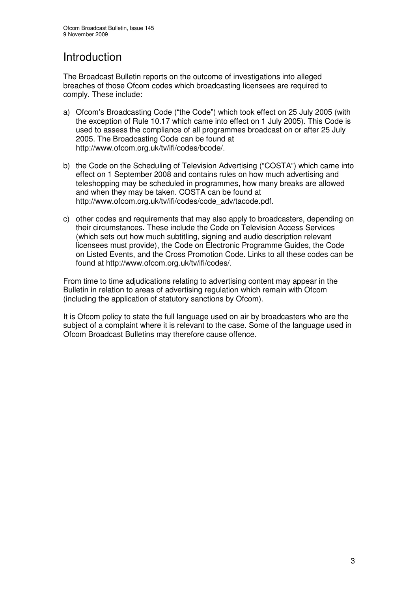## Introduction

The Broadcast Bulletin reports on the outcome of investigations into alleged breaches of those Ofcom codes which broadcasting licensees are required to comply. These include:

- a) Ofcom's Broadcasting Code ("the Code") which took effect on 25 July 2005 (with the exception of Rule 10.17 which came into effect on 1 July 2005). This Code is used to assess the compliance of all programmes broadcast on or after 25 July 2005. The Broadcasting Code can be found at http://www.ofcom.org.uk/tv/ifi/codes/bcode/.
- b) the Code on the Scheduling of Television Advertising ("COSTA") which came into effect on 1 September 2008 and contains rules on how much advertising and teleshopping may be scheduled in programmes, how many breaks are allowed and when they may be taken. COSTA can be found at http://www.ofcom.org.uk/tv/ifi/codes/code\_adv/tacode.pdf.
- c) other codes and requirements that may also apply to broadcasters, depending on their circumstances. These include the Code on Television Access Services (which sets out how much subtitling, signing and audio description relevant licensees must provide), the Code on Electronic Programme Guides, the Code on Listed Events, and the Cross Promotion Code. Links to all these codes can be found at http://www.ofcom.org.uk/tv/ifi/codes/.

From time to time adjudications relating to advertising content may appear in the Bulletin in relation to areas of advertising regulation which remain with Ofcom (including the application of statutory sanctions by Ofcom).

It is Ofcom policy to state the full language used on air by broadcasters who are the subject of a complaint where it is relevant to the case. Some of the language used in Ofcom Broadcast Bulletins may therefore cause offence.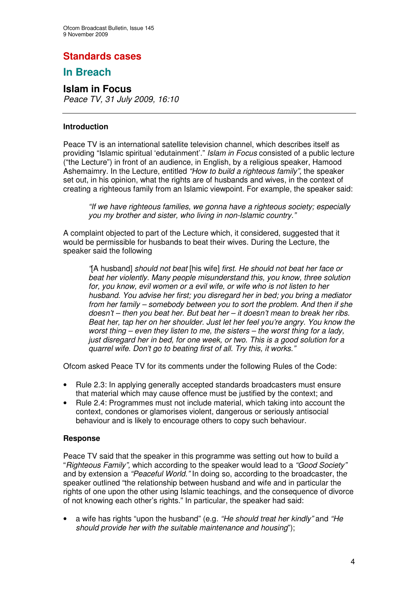## **Standards cases**

## **In Breach**

# **Islam in Focus**

*Peace TV, 31 July 2009, 16:10*

#### **Introduction**

Peace TV is an international satellite television channel, which describes itself as providing "Islamic spiritual 'edutainment'." *Islam in Focus* consisted of a public lecture ("the Lecture") in front of an audience, in English, by a religious speaker, Hamood Ashemaimry. In the Lecture, entitled *"How to build a righteous family"*, the speaker set out, in his opinion, what the rights are of husbands and wives, in the context of creating a righteous family from an Islamic viewpoint. For example, the speaker said:

*"If we have righteous families, we gonna have a righteous society; especially you my brother and sister, who living in non-Islamic country."*

A complaint objected to part of the Lecture which, it considered, suggested that it would be permissible for husbands to beat their wives. During the Lecture, the speaker said the following

*"*[A husband] *should not beat* [his wife] *first. He should not beat her face or beat her violently. Many people misunderstand this, you know, three solution for, you know, evil women or a evil wife, or wife who is not listen to her husband. You advise her first; you disregard her in bed; you bring a mediator from her family – somebody between you to sort the problem. And then if she doesn't – then you beat her. But beat her – it doesn't mean to break her ribs. Beat her, tap her on her shoulder. Just let her feel you're angry. You know the worst thing – even they listen to me, the sisters – the worst thing for a lady, just disregard her in bed, for one week, or two. This is a good solution for a quarrel wife. Don't go to beating first of all. Try this, it works."*

Ofcom asked Peace TV for its comments under the following Rules of the Code:

- Rule 2.3: In applying generally accepted standards broadcasters must ensure that material which may cause offence must be justified by the context; and
- Rule 2.4: Programmes must not include material, which taking into account the context, condones or glamorises violent, dangerous or seriously antisocial behaviour and is likely to encourage others to copy such behaviour.

#### **Response**

Peace TV said that the speaker in this programme was setting out how to build a "*Righteous Family",* which according to the speaker would lead to a *"Good Society"* and by extension a *"Peaceful World."* In doing so, according to the broadcaster, the speaker outlined "the relationship between husband and wife and in particular the rights of one upon the other using Islamic teachings, and the consequence of divorce of not knowing each other's rights." In particular, the speaker had said:

• a wife has rights "upon the husband" (e.g. *"He should treat her kindly"* and *"He should provide her with the suitable maintenance and housing*");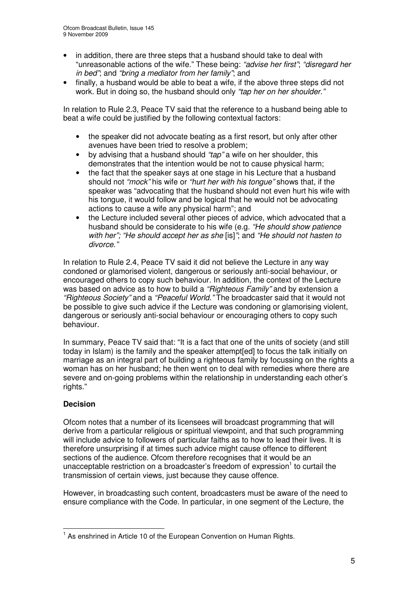- in addition, there are three steps that a husband should take to deal with "unreasonable actions of the wife." These being: *"advise her first"*; *"disregard her in bed"*; and *"bring a mediator from her family"*; and
- finally, a husband would be able to beat a wife, if the above three steps did not work. But in doing so, the husband should only *"tap her on her shoulder."*

In relation to Rule 2.3, Peace TV said that the reference to a husband being able to beat a wife could be justified by the following contextual factors:

- the speaker did not advocate beating as a first resort, but only after other avenues have been tried to resolve a problem;
- by advising that a husband should *"tap"* a wife on her shoulder, this demonstrates that the intention would be not to cause physical harm;
- the fact that the speaker says at one stage in his Lecture that a husband should not *"mock"* his wife or *"hurt her with his tongue"* shows that, if the speaker was "advocating that the husband should not even hurt his wife with his tongue, it would follow and be logical that he would not be advocating actions to cause a wife any physical harm"; and
- the Lecture included several other pieces of advice, which advocated that a husband should be considerate to his wife (e.g. *"He should show patience with her"; "He should accept her as she* [is]*"*; and *"He should not hasten to divorce."*

In relation to Rule 2.4, Peace TV said it did not believe the Lecture in any way condoned or glamorised violent, dangerous or seriously anti-social behaviour, or encouraged others to copy such behaviour. In addition, the context of the Lecture was based on advice as to how to build a *"Righteous Family"* and by extension a *"Righteous Society"* and a *"Peaceful World."* The broadcaster said that it would not be possible to give such advice if the Lecture was condoning or glamorising violent, dangerous or seriously anti-social behaviour or encouraging others to copy such behaviour.

In summary, Peace TV said that: "It is a fact that one of the units of society (and still today in Islam) is the family and the speaker attempt[ed] to focus the talk initially on marriage as an integral part of building a righteous family by focussing on the rights a woman has on her husband; he then went on to deal with remedies where there are severe and on-going problems within the relationship in understanding each other's rights."

### **Decision**

Ofcom notes that a number of its licensees will broadcast programming that will derive from a particular religious or spiritual viewpoint, and that such programming will include advice to followers of particular faiths as to how to lead their lives. It is therefore unsurprising if at times such advice might cause offence to different sections of the audience. Ofcom therefore recognises that it would be an unacceptable restriction on a broadcaster's freedom of expression<sup>1</sup> to curtail the transmission of certain views, just because they cause offence.

However, in broadcasting such content, broadcasters must be aware of the need to ensure compliance with the Code. In particular, in one segment of the Lecture, the

<sup>&</sup>lt;sup>1</sup> As enshrined in Article 10 of the European Convention on Human Rights.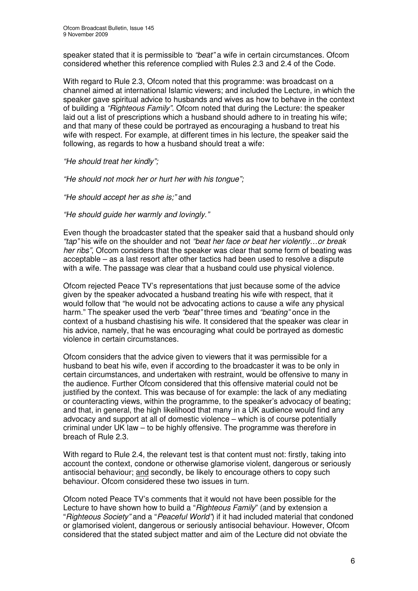speaker stated that it is permissible to *"beat"* a wife in certain circumstances. Ofcom considered whether this reference complied with Rules 2.3 and 2.4 of the Code.

With regard to Rule 2.3, Ofcom noted that this programme: was broadcast on a channel aimed at international Islamic viewers; and included the Lecture, in which the speaker gave spiritual advice to husbands and wives as how to behave in the context of building a *"Righteous Family".* Ofcom noted that during the Lecture: the speaker laid out a list of prescriptions which a husband should adhere to in treating his wife; and that many of these could be portrayed as encouraging a husband to treat his wife with respect. For example, at different times in his lecture, the speaker said the following, as regards to how a husband should treat a wife:

*"He should treat her kindly";*

*"He should not mock her or hurt her with his tongue";*

*"He should accept her as she is;"* and

*"He should guide her warmly and lovingly."*

Even though the broadcaster stated that the speaker said that a husband should only *"tap"* his wife on the shoulder and not *"beat her face or beat her violently…or break her ribs"*, Ofcom considers that the speaker was clear that some form of beating was acceptable – as a last resort after other tactics had been used to resolve a dispute with a wife. The passage was clear that a husband could use physical violence.

Ofcom rejected Peace TV's representations that just because some of the advice given by the speaker advocated a husband treating his wife with respect, that it would follow that "he would not be advocating actions to cause a wife any physical harm." The speaker used the verb *"beat"* three times and *"beating"* once in the context of a husband chastising his wife. It considered that the speaker was clear in his advice, namely, that he was encouraging what could be portrayed as domestic violence in certain circumstances.

Ofcom considers that the advice given to viewers that it was permissible for a husband to beat his wife, even if according to the broadcaster it was to be only in certain circumstances, and undertaken with restraint, would be offensive to many in the audience. Further Ofcom considered that this offensive material could not be justified by the context. This was because of for example: the lack of any mediating or counteracting views, within the programme, to the speaker's advocacy of beating; and that, in general, the high likelihood that many in a UK audience would find any advocacy and support at all of domestic violence – which is of course potentially criminal under UK law – to be highly offensive. The programme was therefore in breach of Rule 2.3.

With regard to Rule 2.4, the relevant test is that content must not: firstly, taking into account the context, condone or otherwise glamorise violent, dangerous or seriously antisocial behaviour; and secondly, be likely to encourage others to copy such behaviour. Ofcom considered these two issues in turn.

Ofcom noted Peace TV's comments that it would not have been possible for the Lecture to have shown how to build a "*Righteous Family*" (and by extension a "*Righteous Society"* and a "*Peaceful World"*) if it had included material that condoned or glamorised violent, dangerous or seriously antisocial behaviour. However, Ofcom considered that the stated subject matter and aim of the Lecture did not obviate the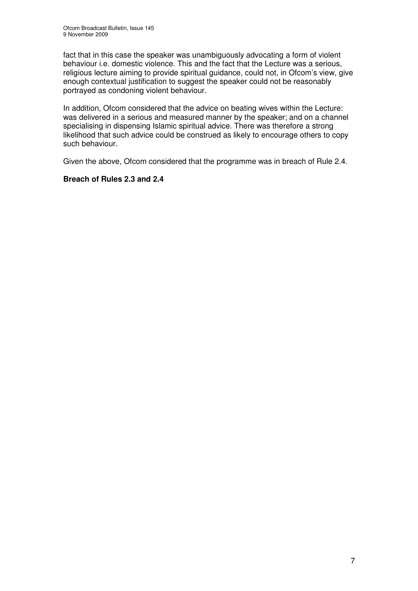fact that in this case the speaker was unambiguously advocating a form of violent behaviour i.e. domestic violence. This and the fact that the Lecture was a serious, religious lecture aiming to provide spiritual guidance, could not, in Ofcom's view, give enough contextual justification to suggest the speaker could not be reasonably portrayed as condoning violent behaviour.

In addition, Ofcom considered that the advice on beating wives within the Lecture: was delivered in a serious and measured manner by the speaker; and on a channel specialising in dispensing Islamic spiritual advice. There was therefore a strong likelihood that such advice could be construed as likely to encourage others to copy such behaviour.

Given the above, Ofcom considered that the programme was in breach of Rule 2.4.

#### **Breach of Rules 2.3 and 2.4**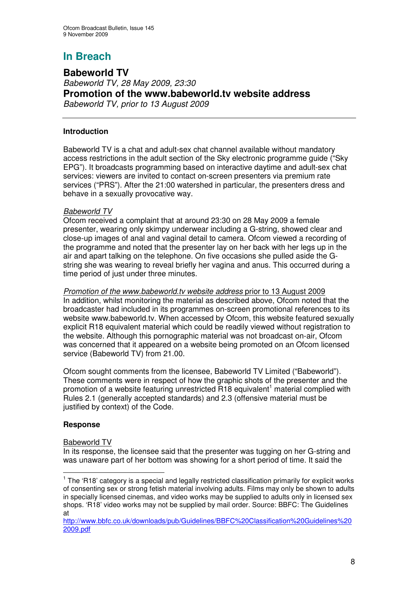**Babeworld TV** *Babeworld TV, 28 May 2009, 23:30* **Promotion of the www.babeworld.tv website address** *Babeworld TV, prior to 13 August 2009*

#### **Introduction**

Babeworld TV is a chat and adult-sex chat channel available without mandatory access restrictions in the adult section of the Sky electronic programme guide ("Sky EPG"). It broadcasts programming based on interactive daytime and adult-sex chat services: viewers are invited to contact on-screen presenters via premium rate services ("PRS"). After the 21:00 watershed in particular, the presenters dress and behave in a sexually provocative way.

#### *Babeworld TV*

Ofcom received a complaint that at around 23:30 on 28 May 2009 a female presenter, wearing only skimpy underwear including a G-string, showed clear and close-up images of anal and vaginal detail to camera. Ofcom viewed a recording of the programme and noted that the presenter lay on her back with her legs up in the air and apart talking on the telephone. On five occasions she pulled aside the Gstring she was wearing to reveal briefly her vagina and anus. This occurred during a time period of just under three minutes.

#### *Promotion of the www.babeworld.tv website address* prior to 13 August 2009

In addition, whilst monitoring the material as described above, Ofcom noted that the broadcaster had included in its programmes on-screen promotional references to its website www.babeworld.tv. When accessed by Ofcom, this website featured sexually explicit R18 equivalent material which could be readily viewed without registration to the website. Although this pornographic material was not broadcast on-air, Ofcom was concerned that it appeared on a website being promoted on an Ofcom licensed service (Babeworld TV) from 21.00.

Ofcom sought comments from the licensee, Babeworld TV Limited ("Babeworld"). These comments were in respect of how the graphic shots of the presenter and the promotion of a website featuring unrestricted R18 equivalent<sup>1</sup> material complied with Rules 2.1 (generally accepted standards) and 2.3 (offensive material must be iustified by context) of the Code.

#### **Response**

#### Babeworld TV

In its response, the licensee said that the presenter was tugging on her G-string and was unaware part of her bottom was showing for a short period of time. It said the

 $1$  The 'R18' category is a special and legally restricted classification primarily for explicit works of consenting sex or strong fetish material involving adults. Films may only be shown to adults in specially licensed cinemas, and video works may be supplied to adults only in licensed sex shops. 'R18' video works may not be supplied by mail order. Source: BBFC: The Guidelines at

http://www.bbfc.co.uk/downloads/pub/Guidelines/BBFC%20Classification%20Guidelines%20 2009.pdf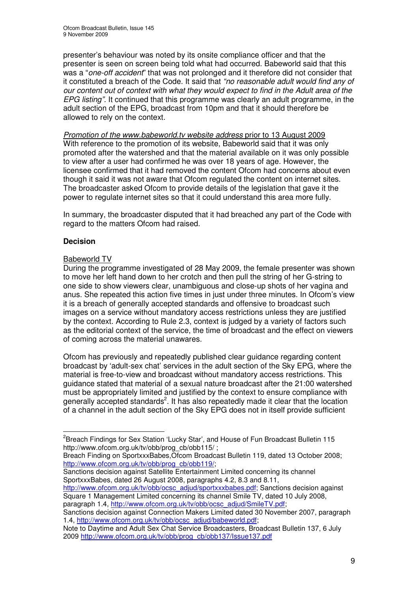presenter's behaviour was noted by its onsite compliance officer and that the presenter is seen on screen being told what had occurred. Babeworld said that this was a "*one-off accident*" that was not prolonged and it therefore did not consider that it constituted a breach of the Code. It said that *"no reasonable adult would find any of our content out of context with what they would expect to find in the Adult area of the EPG listing".* It continued that this programme was clearly an adult programme, in the adult section of the EPG, broadcast from 10pm and that it should therefore be allowed to rely on the context.

*Promotion of the www.babeworld.tv website address* prior to 13 August 2009 With reference to the promotion of its website. Babeworld said that it was only promoted after the watershed and that the material available on it was only possible to view after a user had confirmed he was over 18 years of age. However, the licensee confirmed that it had removed the content Ofcom had concerns about even though it said it was not aware that Ofcom regulated the content on internet sites. The broadcaster asked Ofcom to provide details of the legislation that gave it the power to regulate internet sites so that it could understand this area more fully.

In summary, the broadcaster disputed that it had breached any part of the Code with regard to the matters Ofcom had raised.

#### **Decision**

#### Babeworld TV

During the programme investigated of 28 May 2009, the female presenter was shown to move her left hand down to her crotch and then pull the string of her G-string to one side to show viewers clear, unambiguous and close-up shots of her vagina and anus. She repeated this action five times in just under three minutes. In Ofcom's view it is a breach of generally accepted standards and offensive to broadcast such images on a service without mandatory access restrictions unless they are justified by the context. According to Rule 2.3, context is judged by a variety of factors such as the editorial context of the service, the time of broadcast and the effect on viewers of coming across the material unawares.

Ofcom has previously and repeatedly published clear guidance regarding content broadcast by 'adult-sex chat' services in the adult section of the Sky EPG, where the material is free-to-view and broadcast without mandatory access restrictions. This guidance stated that material of a sexual nature broadcast after the 21:00 watershed must be appropriately limited and justified by the context to ensure compliance with generally accepted standards<sup>2</sup>. It has also repeatedly made it clear that the location of a channel in the adult section of the Sky EPG does not in itself provide sufficient

http://www.ofcom.org.uk/tv/obb/ocsc\_adjud/sportxxxbabes.pdf; Sanctions decision against Square 1 Management Limited concerning its channel Smile TV, dated 10 July 2008, paragraph 1.4, http://www.ofcom.org.uk/tv/obb/ocsc\_adjud/SmileTV.pdf;

 $^2$ Breach Findings for Sex Station 'Lucky Star', and House of Fun Broadcast Bulletin 115 http://www.ofcom.org.uk/tv/obb/prog\_cb/obb115/ ;

Breach Finding on SportxxxBabes,Ofcom Broadcast Bulletin 119, dated 13 October 2008; http://www.ofcom.org.uk/tv/obb/prog\_cb/obb119/;

Sanctions decision against Satellite Entertainment Limited concerning its channel SportxxxBabes, dated 26 August 2008, paragraphs 4.2, 8.3 and 8.11,

Sanctions decision against Connection Makers Limited dated 30 November 2007, paragraph 1.4, http://www.ofcom.org.uk/tv/obb/ocsc\_adjud/babeworld.pdf;

Note to Daytime and Adult Sex Chat Service Broadcasters, Broadcast Bulletin 137, 6 July 2009 http://www.ofcom.org.uk/tv/obb/prog\_cb/obb137/Issue137.pdf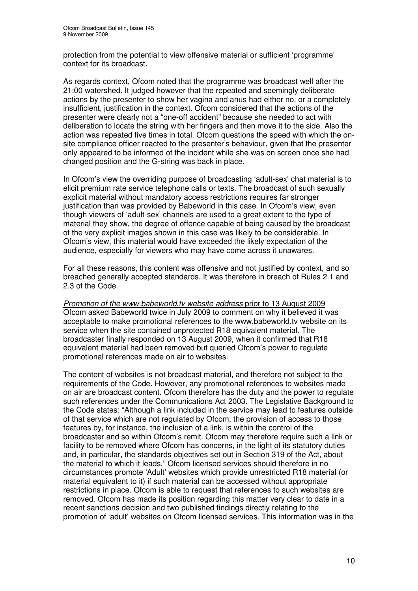protection from the potential to view offensive material or sufficient 'programme' context for its broadcast.

As regards context, Ofcom noted that the programme was broadcast well after the 21:00 watershed. It judged however that the repeated and seemingly deliberate actions by the presenter to show her vagina and anus had either no, or a completely insufficient, justification in the context. Ofcom considered that the actions of the presenter were clearly not a "one-off accident" because she needed to act with deliberation to locate the string with her fingers and then move it to the side. Also the action was repeated five times in total. Ofcom questions the speed with which the onsite compliance officer reacted to the presenter's behaviour, given that the presenter only appeared to be informed of the incident while she was on screen once she had changed position and the G-string was back in place.

In Ofcom's view the overriding purpose of broadcasting 'adult-sex' chat material is to elicit premium rate service telephone calls or texts. The broadcast of such sexually explicit material without mandatory access restrictions requires far stronger justification than was provided by Babeworld in this case. In Ofcom's view, even though viewers of 'adult-sex' channels are used to a great extent to the type of material they show, the degree of offence capable of being caused by the broadcast of the very explicit images shown in this case was likely to be considerable. In Ofcom's view, this material would have exceeded the likely expectation of the audience, especially for viewers who may have come across it unawares.

For all these reasons, this content was offensive and not justified by context, and so breached generally accepted standards. It was therefore in breach of Rules 2.1 and 2.3 of the Code.

*Promotion of the www.babeworld.tv website address* prior to 13 August 2009 Ofcom asked Babeworld twice in July 2009 to comment on why it believed it was acceptable to make promotional references to the www.babeworld.tv website on its service when the site contained unprotected R18 equivalent material. The broadcaster finally responded on 13 August 2009, when it confirmed that R18 equivalent material had been removed but queried Ofcom's power to regulate promotional references made on air to websites.

The content of websites is not broadcast material, and therefore not subject to the requirements of the Code. However, any promotional references to websites made on air are broadcast content. Ofcom therefore has the duty and the power to regulate such references under the Communications Act 2003. The Legislative Background to the Code states: "Although a link included in the service may lead to features outside of that service which are not regulated by Ofcom, the provision of access to those features by, for instance, the inclusion of a link, is within the control of the broadcaster and so within Ofcom's remit. Ofcom may therefore require such a link or facility to be removed where Ofcom has concerns, in the light of its statutory duties and, in particular, the standards objectives set out in Section 319 of the Act, about the material to which it leads." Ofcom licensed services should therefore in no circumstances promote 'Adult' websites which provide unrestricted R18 material (or material equivalent to it) if such material can be accessed without appropriate restrictions in place. Ofcom is able to request that references to such websites are removed. Ofcom has made its position regarding this matter very clear to date in a recent sanctions decision and two published findings directly relating to the promotion of 'adult' websites on Ofcom licensed services. This information was in the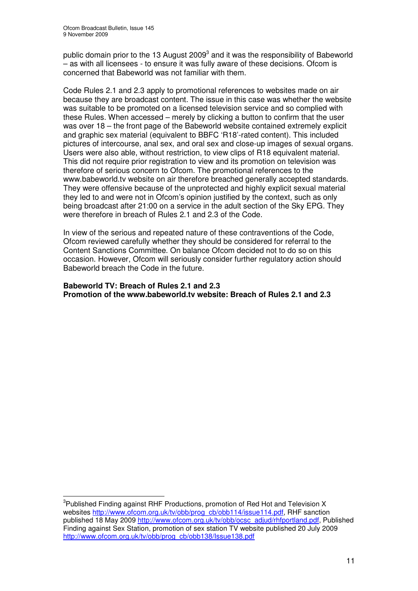public domain prior to the 13 August 2009<sup>3</sup> and it was the responsibility of Babeworld – as with all licensees - to ensure it was fully aware of these decisions. Ofcom is concerned that Babeworld was not familiar with them.

Code Rules 2.1 and 2.3 apply to promotional references to websites made on air because they are broadcast content. The issue in this case was whether the website was suitable to be promoted on a licensed television service and so complied with these Rules. When accessed – merely by clicking a button to confirm that the user was over 18 – the front page of the Babeworld website contained extremely explicit and graphic sex material (equivalent to BBFC 'R18'-rated content). This included pictures of intercourse, anal sex, and oral sex and close-up images of sexual organs. Users were also able, without restriction, to view clips of R18 equivalent material. This did not require prior registration to view and its promotion on television was therefore of serious concern to Ofcom. The promotional references to the www.babeworld.tv website on air therefore breached generally accepted standards. They were offensive because of the unprotected and highly explicit sexual material they led to and were not in Ofcom's opinion justified by the context, such as only being broadcast after 21:00 on a service in the adult section of the Sky EPG. They were therefore in breach of Rules 2.1 and 2.3 of the Code.

In view of the serious and repeated nature of these contraventions of the Code, Ofcom reviewed carefully whether they should be considered for referral to the Content Sanctions Committee. On balance Ofcom decided not to do so on this occasion. However, Ofcom will seriously consider further regulatory action should Babeworld breach the Code in the future.

#### **Babeworld TV: Breach of Rules 2.1 and 2.3 Promotion of the www.babeworld.tv website: Breach of Rules 2.1 and 2.3**

<sup>&</sup>lt;sup>3</sup>Published Finding against RHF Productions, promotion of Red Hot and Television X websites http://www.ofcom.org.uk/tv/obb/prog\_cb/obb114/issue114.pdf, RHF sanction published 18 May 2009 http://www.ofcom.org.uk/tv/obb/ocsc\_adjud/rhfportland.pdf, Published Finding against Sex Station, promotion of sex station TV website published 20 July 2009 http://www.ofcom.org.uk/tv/obb/prog\_cb/obb138/Issue138.pdf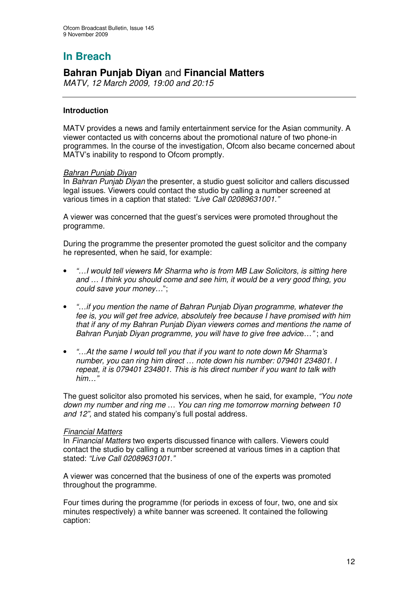## **Bahran Punjab Diyan** and **Financial Matters**

*MATV, 12 March 2009, 19:00 and 20:15*

#### **Introduction**

MATV provides a news and family entertainment service for the Asian community. A viewer contacted us with concerns about the promotional nature of two phone-in programmes. In the course of the investigation, Ofcom also became concerned about MATV's inability to respond to Ofcom promptly.

#### *Bahran Punjab Diyan*

In *Bahran Punjab Diyan* the presenter, a studio guest solicitor and callers discussed legal issues. Viewers could contact the studio by calling a number screened at various times in a caption that stated: *"Live Call 02089631001."*

A viewer was concerned that the guest's services were promoted throughout the programme.

During the programme the presenter promoted the guest solicitor and the company he represented, when he said, for example:

- *"…I would tell viewers Mr Sharma who is from MB Law Solicitors, is sitting here and … I think you should come and see him, it would be a very good thing, you could save your money…*";
- *"…if you mention the name of Bahran Punjab Diyan programme, whatever the fee is, you will get free advice, absolutely free because I have promised with him that if any of my Bahran Punjab Diyan viewers comes and mentions the name of Bahran Punjab Diyan programme, you will have to give free advic*e…*"* ; and
- *"…At the same I would tell you that if you want to note down Mr Sharma's number, you can ring him direct … note down his number: 079401 234801. I repeat, it is 079401 234801. This is his direct number if you want to talk with him…"*

The guest solicitor also promoted his services, when he said, for example, *"You note down my number and ring me* … *You can ring me tomorrow morning between 10 and 12",* and stated his company's full postal address.

#### *Financial Matters*

In *Financial Matters* two experts discussed finance with callers. Viewers could contact the studio by calling a number screened at various times in a caption that stated: *"Live Call 02089631001."*

A viewer was concerned that the business of one of the experts was promoted throughout the programme.

Four times during the programme (for periods in excess of four, two, one and six minutes respectively) a white banner was screened. It contained the following caption: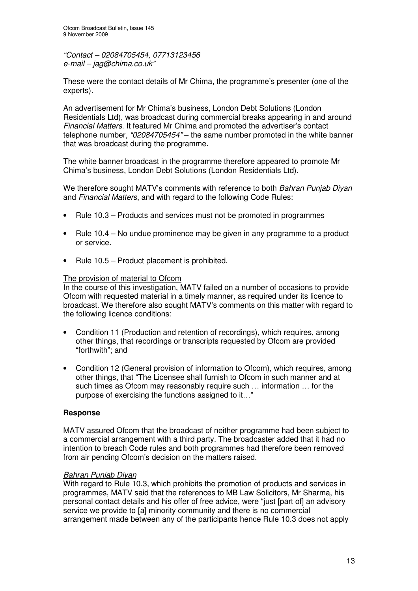*"Contact – 02084705454, 07713123456 e-mail – jag@chima.co.uk"*

These were the contact details of Mr Chima, the programme's presenter (one of the experts).

An advertisement for Mr Chima's business, London Debt Solutions (London Residentials Ltd), was broadcast during commercial breaks appearing in and around *Financial Matters*. It featured Mr Chima and promoted the advertiser's contact telephone number, *"02084705454"* – the same number promoted in the white banner that was broadcast during the programme.

The white banner broadcast in the programme therefore appeared to promote Mr Chima's business, London Debt Solutions (London Residentials Ltd).

We therefore sought MATV's comments with reference to both *Bahran Punjab Diyan* and *Financial Matters*, and with regard to the following Code Rules:

- Rule 10.3 Products and services must not be promoted in programmes
- Rule 10.4 No undue prominence may be given in any programme to a product or service.
- Rule 10.5 Product placement is prohibited.

#### The provision of material to Ofcom

In the course of this investigation, MATV failed on a number of occasions to provide Ofcom with requested material in a timely manner, as required under its licence to broadcast. We therefore also sought MATV's comments on this matter with regard to the following licence conditions:

- Condition 11 (Production and retention of recordings), which requires, among other things, that recordings or transcripts requested by Ofcom are provided "forthwith"; and
- Condition 12 (General provision of information to Ofcom), which requires, among other things, that "The Licensee shall furnish to Ofcom in such manner and at such times as Ofcom may reasonably require such … information … for the purpose of exercising the functions assigned to it…"

#### **Response**

MATV assured Ofcom that the broadcast of neither programme had been subject to a commercial arrangement with a third party. The broadcaster added that it had no intention to breach Code rules and both programmes had therefore been removed from air pending Ofcom's decision on the matters raised.

#### *Bahran Punjab Diyan*

With regard to Rule 10.3, which prohibits the promotion of products and services in programmes, MATV said that the references to MB Law Solicitors, Mr Sharma, his personal contact details and his offer of free advice, were "just [part of] an advisory service we provide to [a] minority community and there is no commercial arrangement made between any of the participants hence Rule 10.3 does not apply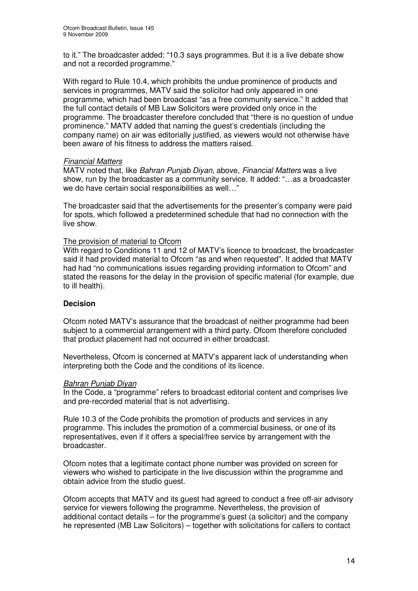to it." The broadcaster added: "10.3 says programmes. But it is a live debate show and not a recorded programme."

With regard to Rule 10.4, which prohibits the undue prominence of products and services in programmes, MATV said the solicitor had only appeared in one programme, which had been broadcast "as a free community service." It added that the full contact details of MB Law Solicitors were provided only once in the programme. The broadcaster therefore concluded that "there is no question of undue prominence." MATV added that naming the guest's credentials (including the company name) on air was editorially justified, as viewers would not otherwise have been aware of his fitness to address the matters raised.

#### *Financial Matters*

MATV noted that, like *Bahran Punjab Diyan*, above, *Financial Matters* was a live show, run by the broadcaster as a community service. It added: "…as a broadcaster we do have certain social responsibilities as well…"

The broadcaster said that the advertisements for the presenter's company were paid for spots, which followed a predetermined schedule that had no connection with the live show.

#### The provision of material to Ofcom

With regard to Conditions 11 and 12 of MATV's licence to broadcast, the broadcaster said it had provided material to Ofcom "as and when requested". It added that MATV had had "no communications issues regarding providing information to Ofcom" and stated the reasons for the delay in the provision of specific material (for example, due to ill health).

#### **Decision**

Ofcom noted MATV's assurance that the broadcast of neither programme had been subject to a commercial arrangement with a third party. Ofcom therefore concluded that product placement had not occurred in either broadcast.

Nevertheless, Ofcom is concerned at MATV's apparent lack of understanding when interpreting both the Code and the conditions of its licence.

#### *Bahran Punjab Diyan*

In the Code, a "programme" refers to broadcast editorial content and comprises live and pre-recorded material that is not advertising.

Rule 10.3 of the Code prohibits the promotion of products and services in any programme. This includes the promotion of a commercial business, or one of its representatives, even if it offers a special/free service by arrangement with the broadcaster.

Ofcom notes that a legitimate contact phone number was provided on screen for viewers who wished to participate in the live discussion within the programme and obtain advice from the studio guest.

Ofcom accepts that MATV and its guest had agreed to conduct a free off-air advisory service for viewers following the programme. Nevertheless, the provision of additional contact details – for the programme's guest (a solicitor) and the company he represented (MB Law Solicitors) – together with solicitations for callers to contact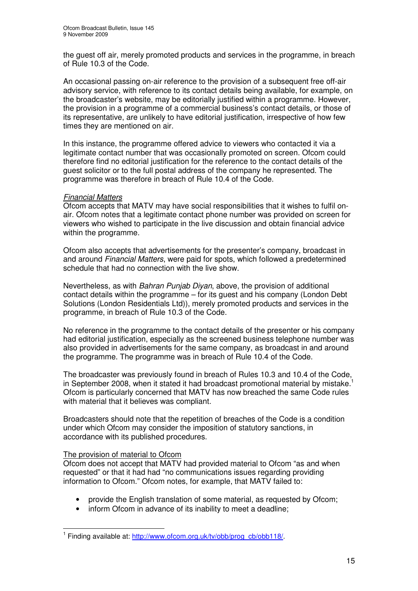the guest off air, merely promoted products and services in the programme, in breach of Rule 10.3 of the Code.

An occasional passing on-air reference to the provision of a subsequent free off-air advisory service, with reference to its contact details being available, for example, on the broadcaster's website, may be editorially justified within a programme. However, the provision in a programme of a commercial business's contact details, or those of its representative, are unlikely to have editorial justification, irrespective of how few times they are mentioned on air.

In this instance, the programme offered advice to viewers who contacted it via a legitimate contact number that was occasionally promoted on screen. Ofcom could therefore find no editorial justification for the reference to the contact details of the guest solicitor or to the full postal address of the company he represented. The programme was therefore in breach of Rule 10.4 of the Code.

#### *Financial Matters*

Ofcom accepts that MATV may have social responsibilities that it wishes to fulfil onair. Ofcom notes that a legitimate contact phone number was provided on screen for viewers who wished to participate in the live discussion and obtain financial advice within the programme.

Ofcom also accepts that advertisements for the presenter's company, broadcast in and around *Financial Matters*, were paid for spots, which followed a predetermined schedule that had no connection with the live show.

Nevertheless, as with *Bahran Punjab Diyan*, above, the provision of additional contact details within the programme – for its guest and his company (London Debt Solutions (London Residentials Ltd)), merely promoted products and services in the programme, in breach of Rule 10.3 of the Code.

No reference in the programme to the contact details of the presenter or his company had editorial justification, especially as the screened business telephone number was also provided in advertisements for the same company, as broadcast in and around the programme. The programme was in breach of Rule 10.4 of the Code.

The broadcaster was previously found in breach of Rules 10.3 and 10.4 of the Code, in September 2008, when it stated it had broadcast promotional material by mistake.<sup>1</sup> Ofcom is particularly concerned that MATV has now breached the same Code rules with material that it believes was compliant.

Broadcasters should note that the repetition of breaches of the Code is a condition under which Ofcom may consider the imposition of statutory sanctions, in accordance with its published procedures.

#### The provision of material to Ofcom

Ofcom does not accept that MATV had provided material to Ofcom "as and when requested" or that it had had "no communications issues regarding providing information to Ofcom." Ofcom notes, for example, that MATV failed to:

- provide the English translation of some material, as requested by Ofcom;
- inform Ofcom in advance of its inability to meet a deadline;

<sup>&</sup>lt;sup>1</sup> Finding available at: http://www.ofcom.org.uk/tv/obb/prog\_cb/obb118/.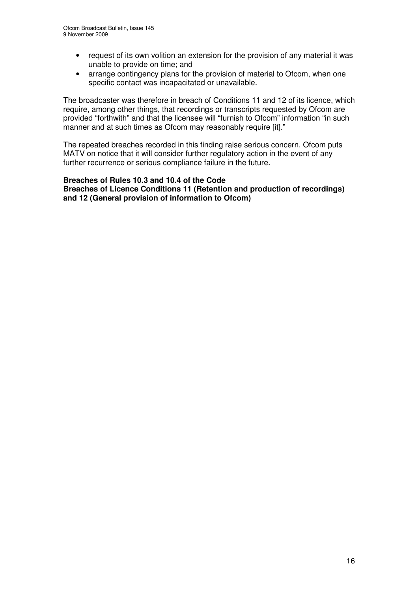- request of its own volition an extension for the provision of any material it was unable to provide on time; and
- arrange contingency plans for the provision of material to Ofcom, when one specific contact was incapacitated or unavailable.

The broadcaster was therefore in breach of Conditions 11 and 12 of its licence, which require, among other things, that recordings or transcripts requested by Ofcom are provided "forthwith" and that the licensee will "furnish to Ofcom" information "in such manner and at such times as Ofcom may reasonably require [it]."

The repeated breaches recorded in this finding raise serious concern. Ofcom puts MATV on notice that it will consider further regulatory action in the event of any further recurrence or serious compliance failure in the future.

#### **Breaches of Rules 10.3 and 10.4 of the Code Breaches of Licence Conditions 11 (Retention and production of recordings) and 12 (General provision of information to Ofcom)**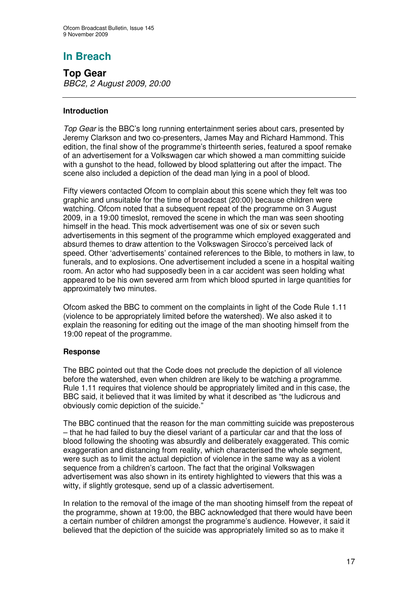**Top Gear** *BBC2, 2 August 2009, 20:00*

#### **Introduction**

*Top Gear* is the BBC's long running entertainment series about cars, presented by Jeremy Clarkson and two co-presenters, James May and Richard Hammond. This edition, the final show of the programme's thirteenth series, featured a spoof remake of an advertisement for a Volkswagen car which showed a man committing suicide with a gunshot to the head, followed by blood splattering out after the impact. The scene also included a depiction of the dead man lying in a pool of blood.

Fifty viewers contacted Ofcom to complain about this scene which they felt was too graphic and unsuitable for the time of broadcast (20:00) because children were watching. Ofcom noted that a subsequent repeat of the programme on 3 August 2009, in a 19:00 timeslot, removed the scene in which the man was seen shooting himself in the head. This mock advertisement was one of six or seven such advertisements in this segment of the programme which employed exaggerated and absurd themes to draw attention to the Volkswagen Sirocco's perceived lack of speed. Other 'advertisements' contained references to the Bible, to mothers in law, to funerals, and to explosions. One advertisement included a scene in a hospital waiting room. An actor who had supposedly been in a car accident was seen holding what appeared to be his own severed arm from which blood spurted in large quantities for approximately two minutes.

Ofcom asked the BBC to comment on the complaints in light of the Code Rule 1.11 (violence to be appropriately limited before the watershed). We also asked it to explain the reasoning for editing out the image of the man shooting himself from the 19:00 repeat of the programme.

#### **Response**

The BBC pointed out that the Code does not preclude the depiction of all violence before the watershed, even when children are likely to be watching a programme. Rule 1.11 requires that violence should be appropriately limited and in this case, the BBC said, it believed that it was limited by what it described as "the ludicrous and obviously comic depiction of the suicide."

The BBC continued that the reason for the man committing suicide was preposterous – that he had failed to buy the diesel variant of a particular car and that the loss of blood following the shooting was absurdly and deliberately exaggerated. This comic exaggeration and distancing from reality, which characterised the whole segment, were such as to limit the actual depiction of violence in the same way as a violent sequence from a children's cartoon. The fact that the original Volkswagen advertisement was also shown in its entirety highlighted to viewers that this was a witty, if slightly grotesque, send up of a classic advertisement.

In relation to the removal of the image of the man shooting himself from the repeat of the programme, shown at 19:00, the BBC acknowledged that there would have been a certain number of children amongst the programme's audience. However, it said it believed that the depiction of the suicide was appropriately limited so as to make it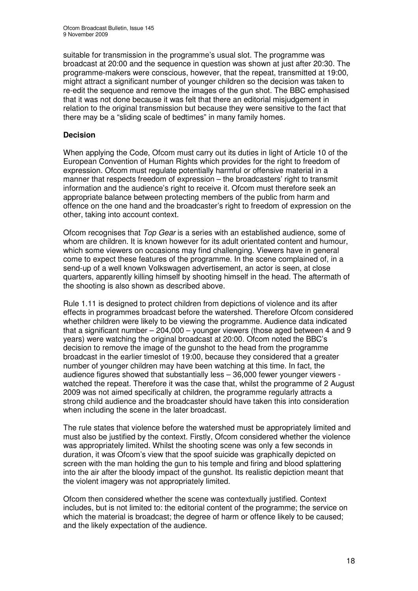suitable for transmission in the programme's usual slot. The programme was broadcast at 20:00 and the sequence in question was shown at just after 20:30. The programme-makers were conscious, however, that the repeat, transmitted at 19:00, might attract a significant number of younger children so the decision was taken to re-edit the sequence and remove the images of the gun shot. The BBC emphasised that it was not done because it was felt that there an editorial misjudgement in relation to the original transmission but because they were sensitive to the fact that there may be a "sliding scale of bedtimes" in many family homes.

#### **Decision**

When applying the Code, Ofcom must carry out its duties in light of Article 10 of the European Convention of Human Rights which provides for the right to freedom of expression. Ofcom must regulate potentially harmful or offensive material in a manner that respects freedom of expression – the broadcasters' right to transmit information and the audience's right to receive it. Ofcom must therefore seek an appropriate balance between protecting members of the public from harm and offence on the one hand and the broadcaster's right to freedom of expression on the other, taking into account context.

Ofcom recognises that *Top Gear* is a series with an established audience, some of whom are children. It is known however for its adult orientated content and humour, which some viewers on occasions may find challenging. Viewers have in general come to expect these features of the programme. In the scene complained of, in a send-up of a well known Volkswagen advertisement, an actor is seen, at close quarters, apparently killing himself by shooting himself in the head. The aftermath of the shooting is also shown as described above.

Rule 1.11 is designed to protect children from depictions of violence and its after effects in programmes broadcast before the watershed. Therefore Ofcom considered whether children were likely to be viewing the programme. Audience data indicated that a significant number – 204,000 – younger viewers (those aged between 4 and 9 years) were watching the original broadcast at 20:00. Ofcom noted the BBC's decision to remove the image of the gunshot to the head from the programme broadcast in the earlier timeslot of 19:00, because they considered that a greater number of younger children may have been watching at this time. In fact, the audience figures showed that substantially less – 36,000 fewer younger viewers watched the repeat. Therefore it was the case that, whilst the programme of 2 August 2009 was not aimed specifically at children, the programme regularly attracts a strong child audience and the broadcaster should have taken this into consideration when including the scene in the later broadcast.

The rule states that violence before the watershed must be appropriately limited and must also be justified by the context. Firstly, Ofcom considered whether the violence was appropriately limited. Whilst the shooting scene was only a few seconds in duration, it was Ofcom's view that the spoof suicide was graphically depicted on screen with the man holding the gun to his temple and firing and blood splattering into the air after the bloody impact of the gunshot. Its realistic depiction meant that the violent imagery was not appropriately limited.

Ofcom then considered whether the scene was contextually justified. Context includes, but is not limited to: the editorial content of the programme; the service on which the material is broadcast; the degree of harm or offence likely to be caused; and the likely expectation of the audience.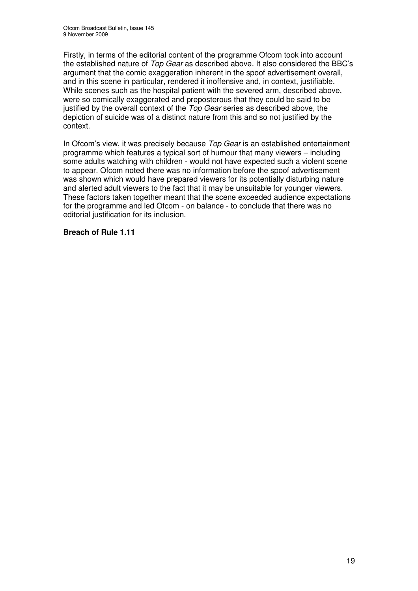Firstly, in terms of the editorial content of the programme Ofcom took into account the established nature of *Top Gear* as described above*.* It also considered the BBC's argument that the comic exaggeration inherent in the spoof advertisement overall, and in this scene in particular, rendered it inoffensive and, in context, justifiable. While scenes such as the hospital patient with the severed arm, described above, were so comically exaggerated and preposterous that they could be said to be justified by the overall context of the *Top Gear* series as described above, the depiction of suicide was of a distinct nature from this and so not justified by the context.

In Ofcom's view, it was precisely because *Top Gear* is an established entertainment programme which features a typical sort of humour that many viewers – including some adults watching with children - would not have expected such a violent scene to appear. Ofcom noted there was no information before the spoof advertisement was shown which would have prepared viewers for its potentially disturbing nature and alerted adult viewers to the fact that it may be unsuitable for younger viewers. These factors taken together meant that the scene exceeded audience expectations for the programme and led Ofcom - on balance - to conclude that there was no editorial justification for its inclusion.

#### **Breach of Rule 1.11**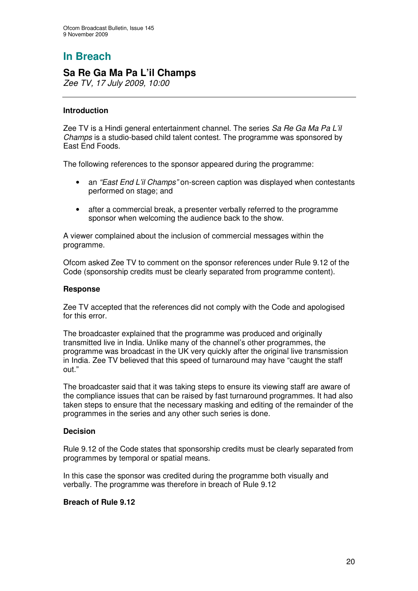## **Sa Re Ga Ma Pa L'il Champs**

*Zee TV, 17 July 2009, 10:00*

#### **Introduction**

Zee TV is a Hindi general entertainment channel. The series *Sa Re Ga Ma Pa L'il Champs* is a studio-based child talent contest. The programme was sponsored by East End Foods.

The following references to the sponsor appeared during the programme:

- an *"East End L'il Champs"* on-screen caption was displayed when contestants performed on stage; and
- after a commercial break, a presenter verbally referred to the programme sponsor when welcoming the audience back to the show.

A viewer complained about the inclusion of commercial messages within the programme.

Ofcom asked Zee TV to comment on the sponsor references under Rule 9.12 of the Code (sponsorship credits must be clearly separated from programme content).

#### **Response**

Zee TV accepted that the references did not comply with the Code and apologised for this error

The broadcaster explained that the programme was produced and originally transmitted live in India. Unlike many of the channel's other programmes, the programme was broadcast in the UK very quickly after the original live transmission in India. Zee TV believed that this speed of turnaround may have "caught the staff out."

The broadcaster said that it was taking steps to ensure its viewing staff are aware of the compliance issues that can be raised by fast turnaround programmes. It had also taken steps to ensure that the necessary masking and editing of the remainder of the programmes in the series and any other such series is done.

#### **Decision**

Rule 9.12 of the Code states that sponsorship credits must be clearly separated from programmes by temporal or spatial means.

In this case the sponsor was credited during the programme both visually and verbally. The programme was therefore in breach of Rule 9.12

#### **Breach of Rule 9.12**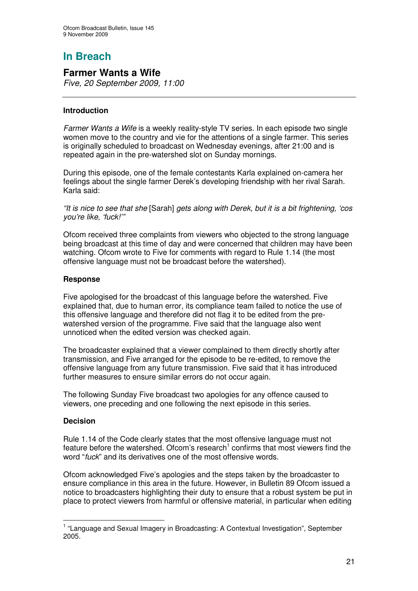## **Farmer Wants a Wife**

*Five, 20 September 2009, 11:00*

#### **Introduction**

*Farmer Wants a Wife* is a weekly reality-style TV series. In each episode two single women move to the country and vie for the attentions of a single farmer. This series is originally scheduled to broadcast on Wednesday evenings, after 21:00 and is repeated again in the pre-watershed slot on Sunday mornings.

During this episode, one of the female contestants Karla explained on-camera her feelings about the single farmer Derek's developing friendship with her rival Sarah. Karla said:

*"It is nice to see that she* [Sarah] *gets along with Derek, but it is a bit frightening, 'cos you're like, 'fuck!'"*

Ofcom received three complaints from viewers who objected to the strong language being broadcast at this time of day and were concerned that children may have been watching. Ofcom wrote to Five for comments with regard to Rule 1.14 (the most offensive language must not be broadcast before the watershed).

#### **Response**

Five apologised for the broadcast of this language before the watershed. Five explained that, due to human error, its compliance team failed to notice the use of this offensive language and therefore did not flag it to be edited from the prewatershed version of the programme. Five said that the language also went unnoticed when the edited version was checked again.

The broadcaster explained that a viewer complained to them directly shortly after transmission, and Five arranged for the episode to be re-edited, to remove the offensive language from any future transmission. Five said that it has introduced further measures to ensure similar errors do not occur again.

The following Sunday Five broadcast two apologies for any offence caused to viewers, one preceding and one following the next episode in this series.

#### **Decision**

Rule 1.14 of the Code clearly states that the most offensive language must not feature before the watershed. Ofcom's research<sup>1</sup> confirms that most viewers find the word "*fuck*" and its derivatives one of the most offensive words.

Ofcom acknowledged Five's apologies and the steps taken by the broadcaster to ensure compliance in this area in the future. However, in Bulletin 89 Ofcom issued a notice to broadcasters highlighting their duty to ensure that a robust system be put in place to protect viewers from harmful or offensive material, in particular when editing

<sup>&</sup>lt;sup>1</sup> "Language and Sexual Imagery in Broadcasting: A Contextual Investigation", September 2005.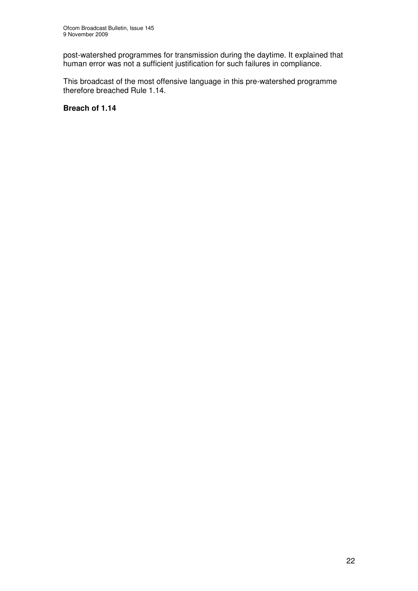post-watershed programmes for transmission during the daytime. It explained that human error was not a sufficient justification for such failures in compliance.

This broadcast of the most offensive language in this pre-watershed programme therefore breached Rule 1.14.

**Breach of 1.14**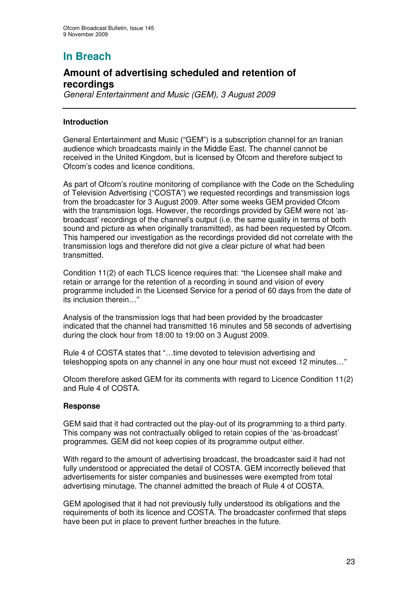## **Amount of advertising scheduled and retention of recordings**

*General Entertainment and Music (GEM), 3 August 2009*

#### **Introduction**

General Entertainment and Music ("GEM") is a subscription channel for an Iranian audience which broadcasts mainly in the Middle East. The channel cannot be received in the United Kingdom, but is licensed by Ofcom and therefore subject to Ofcom's codes and licence conditions.

As part of Ofcom's routine monitoring of compliance with the Code on the Scheduling of Television Advertising ("COSTA") we requested recordings and transmission logs from the broadcaster for 3 August 2009. After some weeks GEM provided Ofcom with the transmission logs. However, the recordings provided by GEM were not 'asbroadcast' recordings of the channel's output (i.e. the same quality in terms of both sound and picture as when originally transmitted), as had been requested by Ofcom. This hampered our investigation as the recordings provided did not correlate with the transmission logs and therefore did not give a clear picture of what had been transmitted.

Condition 11(2) of each TLCS licence requires that: "the Licensee shall make and retain or arrange for the retention of a recording in sound and vision of every programme included in the Licensed Service for a period of 60 days from the date of its inclusion therein…"

Analysis of the transmission logs that had been provided by the broadcaster indicated that the channel had transmitted 16 minutes and 58 seconds of advertising during the clock hour from 18:00 to 19:00 on 3 August 2009.

Rule 4 of COSTA states that "…time devoted to television advertising and teleshopping spots on any channel in any one hour must not exceed 12 minutes…"

Ofcom therefore asked GEM for its comments with regard to Licence Condition 11(2) and Rule 4 of COSTA.

#### **Response**

GEM said that it had contracted out the play-out of its programming to a third party. This company was not contractually obliged to retain copies of the 'as-broadcast' programmes. GEM did not keep copies of its programme output either.

With regard to the amount of advertising broadcast, the broadcaster said it had not fully understood or appreciated the detail of COSTA. GEM incorrectly believed that advertisements for sister companies and businesses were exempted from total advertising minutage. The channel admitted the breach of Rule 4 of COSTA.

GEM apologised that it had not previously fully understood its obligations and the requirements of both its licence and COSTA. The broadcaster confirmed that steps have been put in place to prevent further breaches in the future.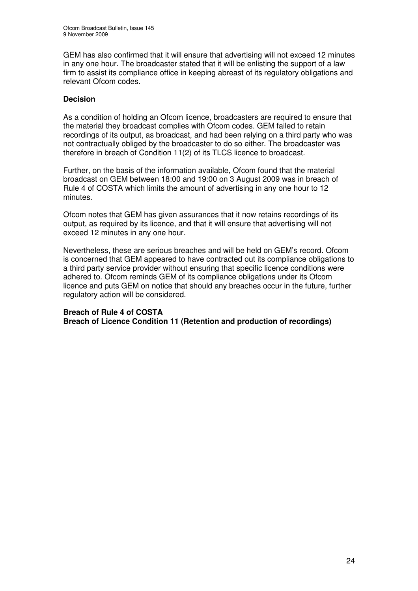GEM has also confirmed that it will ensure that advertising will not exceed 12 minutes in any one hour. The broadcaster stated that it will be enlisting the support of a law firm to assist its compliance office in keeping abreast of its regulatory obligations and relevant Ofcom codes.

#### **Decision**

As a condition of holding an Ofcom licence, broadcasters are required to ensure that the material they broadcast complies with Ofcom codes. GEM failed to retain recordings of its output, as broadcast, and had been relying on a third party who was not contractually obliged by the broadcaster to do so either. The broadcaster was therefore in breach of Condition 11(2) of its TLCS licence to broadcast.

Further, on the basis of the information available, Ofcom found that the material broadcast on GEM between 18:00 and 19:00 on 3 August 2009 was in breach of Rule 4 of COSTA which limits the amount of advertising in any one hour to 12 minutes.

Ofcom notes that GEM has given assurances that it now retains recordings of its output, as required by its licence, and that it will ensure that advertising will not exceed 12 minutes in any one hour.

Nevertheless, these are serious breaches and will be held on GEM's record. Ofcom is concerned that GEM appeared to have contracted out its compliance obligations to a third party service provider without ensuring that specific licence conditions were adhered to. Ofcom reminds GEM of its compliance obligations under its Ofcom licence and puts GEM on notice that should any breaches occur in the future, further regulatory action will be considered.

#### **Breach of Rule 4 of COSTA Breach of Licence Condition 11 (Retention and production of recordings)**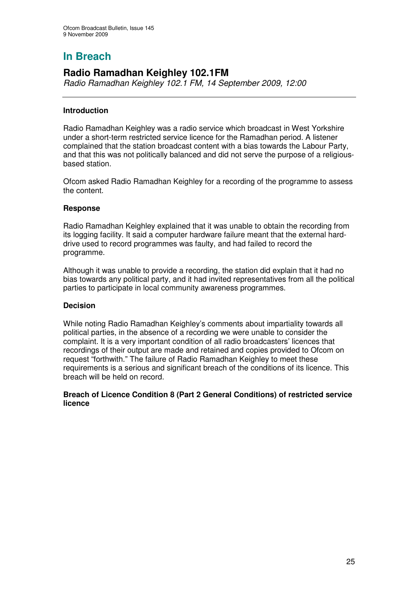## **Radio Ramadhan Keighley 102.1FM**

*Radio Ramadhan Keighley 102.1 FM, 14 September 2009, 12:00*

#### **Introduction**

Radio Ramadhan Keighley was a radio service which broadcast in West Yorkshire under a short-term restricted service licence for the Ramadhan period. A listener complained that the station broadcast content with a bias towards the Labour Party, and that this was not politically balanced and did not serve the purpose of a religiousbased station.

Ofcom asked Radio Ramadhan Keighley for a recording of the programme to assess the content.

#### **Response**

Radio Ramadhan Keighley explained that it was unable to obtain the recording from its logging facility. It said a computer hardware failure meant that the external harddrive used to record programmes was faulty, and had failed to record the programme.

Although it was unable to provide a recording, the station did explain that it had no bias towards any political party, and it had invited representatives from all the political parties to participate in local community awareness programmes.

#### **Decision**

While noting Radio Ramadhan Keighley's comments about impartiality towards all political parties, in the absence of a recording we were unable to consider the complaint. It is a very important condition of all radio broadcasters' licences that recordings of their output are made and retained and copies provided to Ofcom on request "forthwith." The failure of Radio Ramadhan Keighley to meet these requirements is a serious and significant breach of the conditions of its licence. This breach will be held on record.

#### **Breach of Licence Condition 8 (Part 2 General Conditions) of restricted service licence**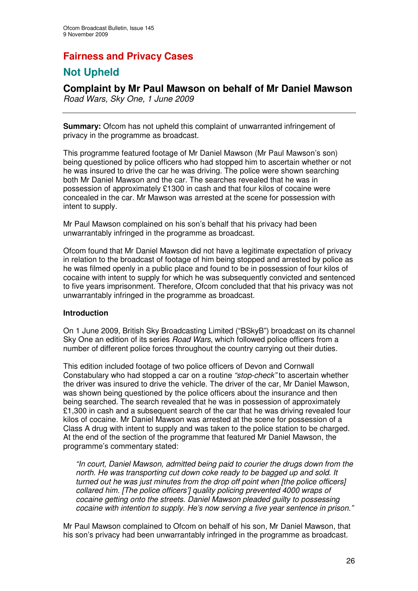## **Fairness and Privacy Cases**

## **Not Upheld**

**Complaint by Mr Paul Mawson on behalf of Mr Daniel Mawson** *Road Wars, Sky One, 1 June 2009*

**Summary:** Ofcom has not upheld this complaint of unwarranted infringement of privacy in the programme as broadcast.

This programme featured footage of Mr Daniel Mawson (Mr Paul Mawson's son) being questioned by police officers who had stopped him to ascertain whether or not he was insured to drive the car he was driving. The police were shown searching both Mr Daniel Mawson and the car. The searches revealed that he was in possession of approximately £1300 in cash and that four kilos of cocaine were concealed in the car. Mr Mawson was arrested at the scene for possession with intent to supply.

Mr Paul Mawson complained on his son's behalf that his privacy had been unwarrantably infringed in the programme as broadcast.

Ofcom found that Mr Daniel Mawson did not have a legitimate expectation of privacy in relation to the broadcast of footage of him being stopped and arrested by police as he was filmed openly in a public place and found to be in possession of four kilos of cocaine with intent to supply for which he was subsequently convicted and sentenced to five years imprisonment. Therefore, Ofcom concluded that that his privacy was not unwarrantably infringed in the programme as broadcast.

#### **Introduction**

On 1 June 2009, British Sky Broadcasting Limited ("BSkyB") broadcast on its channel Sky One an edition of its series *Road Wars,* which followed police officers from a number of different police forces throughout the country carrying out their duties.

This edition included footage of two police officers of Devon and Cornwall Constabulary who had stopped a car on a routine *"stop-check"* to ascertain whether the driver was insured to drive the vehicle. The driver of the car, Mr Daniel Mawson, was shown being questioned by the police officers about the insurance and then being searched. The search revealed that he was in possession of approximately £1,300 in cash and a subsequent search of the car that he was driving revealed four kilos of cocaine. Mr Daniel Mawson was arrested at the scene for possession of a Class A drug with intent to supply and was taken to the police station to be charged. At the end of the section of the programme that featured Mr Daniel Mawson, the programme's commentary stated:

*"In court, Daniel Mawson, admitted being paid to courier the drugs down from the north. He was transporting cut down coke ready to be bagged up and sold. It turned out he was just minutes from the drop off point when [the police officers] collared him. [The police officers'] quality policing prevented 4000 wraps of cocaine getting onto the streets. Daniel Mawson pleaded guilty to possessing cocaine with intention to supply. He's now serving a five year sentence in prison."*

Mr Paul Mawson complained to Ofcom on behalf of his son, Mr Daniel Mawson, that his son's privacy had been unwarrantably infringed in the programme as broadcast.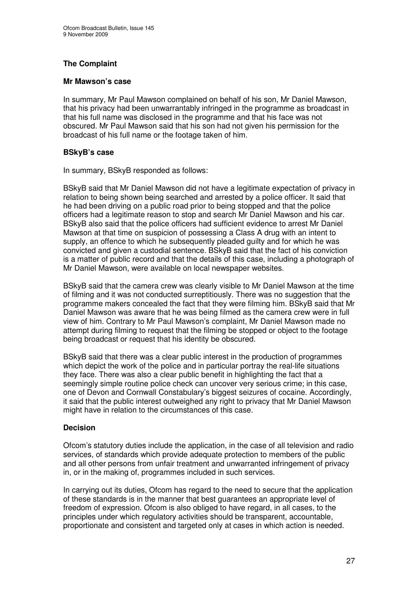#### **The Complaint**

#### **Mr Mawson's case**

In summary, Mr Paul Mawson complained on behalf of his son, Mr Daniel Mawson, that his privacy had been unwarrantably infringed in the programme as broadcast in that his full name was disclosed in the programme and that his face was not obscured. Mr Paul Mawson said that his son had not given his permission for the broadcast of his full name or the footage taken of him.

#### **BSkyB's case**

In summary, BSkyB responded as follows:

BSkyB said that Mr Daniel Mawson did not have a legitimate expectation of privacy in relation to being shown being searched and arrested by a police officer. It said that he had been driving on a public road prior to being stopped and that the police officers had a legitimate reason to stop and search Mr Daniel Mawson and his car. BSkyB also said that the police officers had sufficient evidence to arrest Mr Daniel Mawson at that time on suspicion of possessing a Class A drug with an intent to supply, an offence to which he subsequently pleaded guilty and for which he was convicted and given a custodial sentence. BSkyB said that the fact of his conviction is a matter of public record and that the details of this case, including a photograph of Mr Daniel Mawson, were available on local newspaper websites.

BSkyB said that the camera crew was clearly visible to Mr Daniel Mawson at the time of filming and it was not conducted surreptitiously. There was no suggestion that the programme makers concealed the fact that they were filming him. BSkyB said that Mr Daniel Mawson was aware that he was being filmed as the camera crew were in full view of him. Contrary to Mr Paul Mawson's complaint, Mr Daniel Mawson made no attempt during filming to request that the filming be stopped or object to the footage being broadcast or request that his identity be obscured.

BSkyB said that there was a clear public interest in the production of programmes which depict the work of the police and in particular portray the real-life situations they face. There was also a clear public benefit in highlighting the fact that a seemingly simple routine police check can uncover very serious crime; in this case, one of Devon and Cornwall Constabulary's biggest seizures of cocaine. Accordingly, it said that the public interest outweighed any right to privacy that Mr Daniel Mawson might have in relation to the circumstances of this case.

#### **Decision**

Ofcom's statutory duties include the application, in the case of all television and radio services, of standards which provide adequate protection to members of the public and all other persons from unfair treatment and unwarranted infringement of privacy in, or in the making of, programmes included in such services.

In carrying out its duties, Ofcom has regard to the need to secure that the application of these standards is in the manner that best guarantees an appropriate level of freedom of expression. Ofcom is also obliged to have regard, in all cases, to the principles under which regulatory activities should be transparent, accountable, proportionate and consistent and targeted only at cases in which action is needed.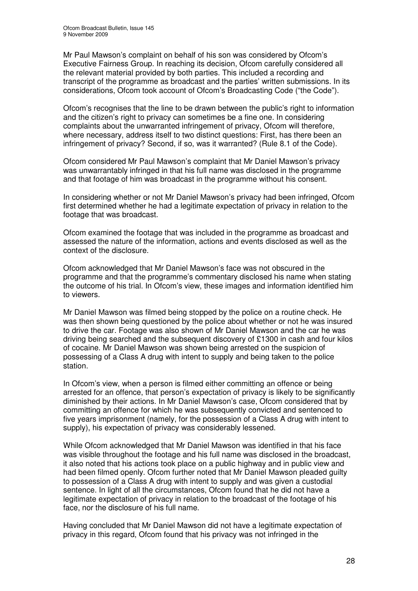Mr Paul Mawson's complaint on behalf of his son was considered by Ofcom's Executive Fairness Group. In reaching its decision, Ofcom carefully considered all the relevant material provided by both parties. This included a recording and transcript of the programme as broadcast and the parties' written submissions. In its considerations, Ofcom took account of Ofcom's Broadcasting Code ("the Code").

Ofcom's recognises that the line to be drawn between the public's right to information and the citizen's right to privacy can sometimes be a fine one. In considering complaints about the unwarranted infringement of privacy, Ofcom will therefore, where necessary, address itself to two distinct questions: First, has there been an infringement of privacy? Second, if so, was it warranted? (Rule 8.1 of the Code).

Ofcom considered Mr Paul Mawson's complaint that Mr Daniel Mawson's privacy was unwarrantably infringed in that his full name was disclosed in the programme and that footage of him was broadcast in the programme without his consent.

In considering whether or not Mr Daniel Mawson's privacy had been infringed, Ofcom first determined whether he had a legitimate expectation of privacy in relation to the footage that was broadcast.

Ofcom examined the footage that was included in the programme as broadcast and assessed the nature of the information, actions and events disclosed as well as the context of the disclosure.

Ofcom acknowledged that Mr Daniel Mawson's face was not obscured in the programme and that the programme's commentary disclosed his name when stating the outcome of his trial. In Ofcom's view, these images and information identified him to viewers.

Mr Daniel Mawson was filmed being stopped by the police on a routine check. He was then shown being questioned by the police about whether or not he was insured to drive the car. Footage was also shown of Mr Daniel Mawson and the car he was driving being searched and the subsequent discovery of £1300 in cash and four kilos of cocaine. Mr Daniel Mawson was shown being arrested on the suspicion of possessing of a Class A drug with intent to supply and being taken to the police station.

In Ofcom's view, when a person is filmed either committing an offence or being arrested for an offence, that person's expectation of privacy is likely to be significantly diminished by their actions. In Mr Daniel Mawson's case, Ofcom considered that by committing an offence for which he was subsequently convicted and sentenced to five years imprisonment (namely, for the possession of a Class A drug with intent to supply), his expectation of privacy was considerably lessened.

While Ofcom acknowledged that Mr Daniel Mawson was identified in that his face was visible throughout the footage and his full name was disclosed in the broadcast, it also noted that his actions took place on a public highway and in public view and had been filmed openly. Ofcom further noted that Mr Daniel Mawson pleaded guilty to possession of a Class A drug with intent to supply and was given a custodial sentence. In light of all the circumstances, Ofcom found that he did not have a legitimate expectation of privacy in relation to the broadcast of the footage of his face, nor the disclosure of his full name.

Having concluded that Mr Daniel Mawson did not have a legitimate expectation of privacy in this regard, Ofcom found that his privacy was not infringed in the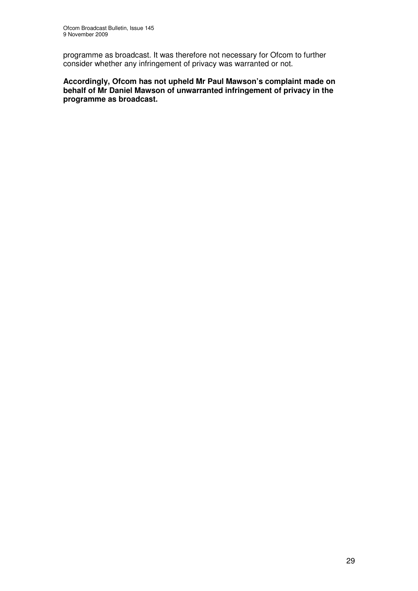programme as broadcast. It was therefore not necessary for Ofcom to further consider whether any infringement of privacy was warranted or not.

**Accordingly, Ofcom has not upheld Mr Paul Mawson's complaint made on behalf of Mr Daniel Mawson of unwarranted infringement of privacy in the programme as broadcast.**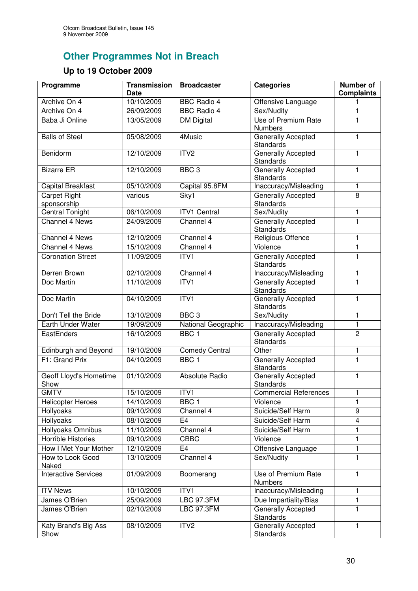# **Other Programmes Not in Breach**

## **Up to 19 October 2009**

| Programme                          | <b>Transmission</b><br><b>Date</b> | <b>Broadcaster</b>    | <b>Categories</b>                             | <b>Number of</b><br><b>Complaints</b> |
|------------------------------------|------------------------------------|-----------------------|-----------------------------------------------|---------------------------------------|
| Archive On 4                       | 10/10/2009                         | <b>BBC Radio 4</b>    | Offensive Language                            | 1                                     |
| Archive On 4                       | 26/09/2009                         | <b>BBC Radio 4</b>    | Sex/Nudity                                    | 1                                     |
| Baba Ji Online                     | 13/05/2009                         | <b>DM Digital</b>     | <b>Use of Premium Rate</b><br><b>Numbers</b>  | 1                                     |
| <b>Balls of Steel</b>              | 05/08/2009                         | 4Music                | Generally Accepted<br><b>Standards</b>        | 1                                     |
| Benidorm                           | 12/10/2009                         | ITV2                  | <b>Generally Accepted</b><br><b>Standards</b> | 1                                     |
| <b>Bizarre ER</b>                  | 12/10/2009                         | BBC <sub>3</sub>      | <b>Generally Accepted</b><br>Standards        | 1                                     |
| Capital Breakfast                  | 05/10/2009                         | Capital 95.8FM        | Inaccuracy/Misleading                         | 1                                     |
| <b>Carpet Right</b><br>sponsorship | various                            | Sky1                  | Generally Accepted<br><b>Standards</b>        | 8                                     |
| Central Tonight                    | 06/10/2009                         | <b>ITV1 Central</b>   | Sex/Nudity                                    | 1                                     |
| <b>Channel 4 News</b>              | 24/09/2009                         | Channel 4             | <b>Generally Accepted</b><br>Standards        | $\mathbf{1}$                          |
| Channel 4 News                     | 12/10/2009                         | Channel 4             | Religious Offence                             | $\mathbf{1}$                          |
| <b>Channel 4 News</b>              | 15/10/2009                         | Channel 4             | Violence                                      | 1                                     |
| <b>Coronation Street</b>           | 11/09/2009                         | ITV1                  | <b>Generally Accepted</b><br>Standards        | $\mathbf{1}$                          |
| Derren Brown                       | 02/10/2009                         | Channel 4             | Inaccuracy/Misleading                         | 1                                     |
| Doc Martin                         | 11/10/2009                         | ITV1                  | Generally Accepted<br>Standards               | $\mathbf{1}$                          |
| Doc Martin                         | 04/10/2009                         | ITVI                  | Generally Accepted<br>Standards               | 1                                     |
| Don't Tell the Bride               | 13/10/2009                         | BBC <sub>3</sub>      | Sex/Nudity                                    | 1                                     |
| Earth Under Water                  | 19/09/2009                         | National Geographic   | Inaccuracy/Misleading                         | 1                                     |
| EastEnders                         | 16/10/2009                         | BBC <sub>1</sub>      | <b>Generally Accepted</b><br>Standards        | $\overline{2}$                        |
| Edinburgh and Beyond               | 19/10/2009                         | <b>Comedy Central</b> | Other                                         | 1                                     |
| F1: Grand Prix                     | 04/10/2009                         | BBC <sub>1</sub>      | Generally Accepted<br>Standards               | $\overline{1}$                        |
| Geoff Lloyd's Hometime<br>Show     | 01/10/2009                         | Absolute Radio        | Generally Accepted<br>Standards               | 1                                     |
| <b>GMTV</b>                        | 15/10/2009                         | ITV1                  | <b>Commercial References</b>                  | 1                                     |
| <b>Helicopter Heroes</b>           | 14/10/2009                         | BBC <sub>1</sub>      | Violence                                      | 1                                     |
| Hollyoaks                          | 09/10/2009                         | Channel 4             | Suicide/Self Harm                             | 9                                     |
| Hollyoaks                          | 08/10/2009                         | E <sub>4</sub>        | Suicide/Self Harm                             | $\overline{\mathbf{4}}$               |
| Hollyoaks Omnibus                  | 11/10/2009                         | Channel 4             | Suicide/Self Harm                             | 1                                     |
| <b>Horrible Histories</b>          | 09/10/2009                         | <b>CBBC</b>           | Violence                                      | 1                                     |
| How I Met Your Mother              | 12/10/2009                         | E <sub>4</sub>        | Offensive Language                            | 1                                     |
| How to Look Good<br>Naked          | 13/10/2009                         | Channel 4             | Sex/Nudity                                    | 1                                     |
| <b>Interactive Services</b>        | 01/09/2009                         | Boomerang             | Use of Premium Rate<br>Numbers                | 1                                     |
| <b>ITV News</b>                    | 10/10/2009                         | ITV1                  | Inaccuracy/Misleading                         | 1                                     |
| James O'Brien                      | 25/09/2009                         | <b>LBC 97.3FM</b>     | Due Impartiality/Bias                         | 1                                     |
| James O'Brien                      | 02/10/2009                         | <b>LBC 97.3FM</b>     | Generally Accepted<br>Standards               | 1                                     |
| Katy Brand's Big Ass<br>Show       | 08/10/2009                         | ITV <sub>2</sub>      | Generally Accepted<br>Standards               | 1                                     |